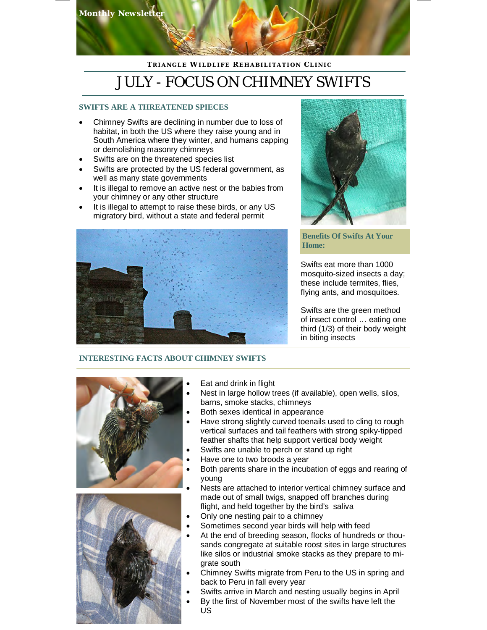

## **T R I A N G L E WI L D L I F E RE H A B I L I T A T I O N C L I N I C**

# JULY - FOCUS ON CHIMNEY SWIFTS

## **SWIFTS ARE A THREATENED SPIECES**

- Chimney Swifts are declining in number due to loss of habitat, in both the US where they raise young and in South America where they winter, and humans capping or demolishing masonry chimneys
- Swifts are on the threatened species list
- Swifts are protected by the US federal government, as well as many state governments
- It is illegal to remove an active nest or the babies from your chimney or any other structure
- It is illegal to attempt to raise these birds, or any US migratory bird, without a state and federal permit





## **Benefits Of Swifts At Your Home:**

Swifts eat more than 1000 mosquito-sized insects a day; these include termites, flies, flying ants, and mosquitoes.

Swifts are the green method of insect control … eating one third (1/3) of their body weight in biting insects

## **INTERESTING FACTS ABOUT CHIMNEY SWIFTS**





- Eat and drink in flight
- Nest in large hollow trees (if available), open wells, silos, barns, smoke stacks, chimneys
- Both sexes identical in appearance
- Have strong slightly curved toenails used to cling to rough vertical surfaces and tail feathers with strong spiky-tipped feather shafts that help support vertical body weight
- Swifts are unable to perch or stand up right
- Have one to two broods a year
- Both parents share in the incubation of eggs and rearing of young
- Nests are attached to interior vertical chimney surface and made out of small twigs, snapped off branches during flight, and held together by the bird's saliva
- Only one nesting pair to a chimney
- Sometimes second year birds will help with feed
- At the end of breeding season, flocks of hundreds or thousands congregate at suitable roost sites in large structures like silos or industrial smoke stacks as they prepare to migrate south
- Chimney Swifts migrate from Peru to the US in spring and back to Peru in fall every year
- Swifts arrive in March and nesting usually begins in April
- By the first of November most of the swifts have left the US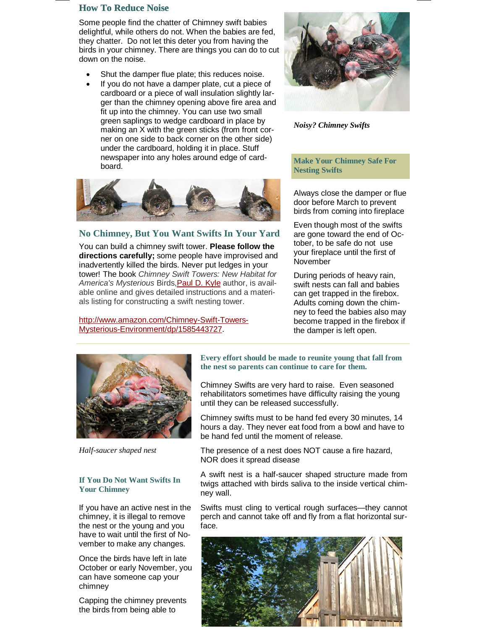## **How To Reduce Noise**

Some people find the chatter of Chimney swift babies delightful, while others do not. When the babies are fed, they chatter. Do not let this deter you from having the birds in your chimney. There are things you can do to cut down on the noise.

- Shut the damper flue plate; this reduces noise.
- If you do not have a damper plate, cut a piece of cardboard or a piece of wall insulation slightly larger than the chimney opening above fire area and fit up into the chimney. You can use two small green saplings to wedge cardboard in place by making an X with the green sticks (from front corner on one side to back corner on the other side) under the cardboard, holding it in place. Stuff newspaper into any holes around edge of cardboard.



### **No Chimney, But You Want Swifts In Your Yard**

You can build a chimney swift tower. **Please follow the directions carefully;** some people have improvised and inadvertently killed the birds. Never put ledges in your tower! The book *Chimney Swift Towers: New Habitat for America's Mysterious* Birds,Paul D. Kyle author, is available online and gives detailed instructions and a materials listing for constructing a swift nesting tower.

#### http://www.amazon.com/Chimney-Swift-Towers-Mysterious-Environment/dp/1585443727.



*Noisy? Chimney Swifts* 

**Make Your Chimney Safe For Nesting Swifts**

Always close the damper or flue door before March to prevent birds from coming into fireplace

Even though most of the swifts are gone toward the end of October, to be safe do not use your fireplace until the first of November

During periods of heavy rain, swift nests can fall and babies can get trapped in the firebox. Adults coming down the chimney to feed the babies also may become trapped in the firebox if the damper is left open.



*Half-saucer shaped nest*

#### **If You Do Not Want Swifts In Your Chimney**

If you have an active nest in the chimney, it is illegal to remove the nest or the young and you have to wait until the first of November to make any changes.

Once the birds have left in late October or early November, you can have someone cap your chimney

Capping the chimney prevents the birds from being able to

**Every effort should be made to reunite young that fall from the nest so parents can continue to care for them.**

Chimney Swifts are very hard to raise. Even seasoned rehabilitators sometimes have difficulty raising the young until they can be released successfully.

Chimney swifts must to be hand fed every 30 minutes, 14 hours a day. They never eat food from a bowl and have to be hand fed until the moment of release.

The presence of a nest does NOT cause a fire hazard, NOR does it spread disease

A swift nest is a half-saucer shaped structure made from twigs attached with birds saliva to the inside vertical chimney wall.

Swifts must cling to vertical rough surfaces—they cannot perch and cannot take off and fly from a flat horizontal surface.